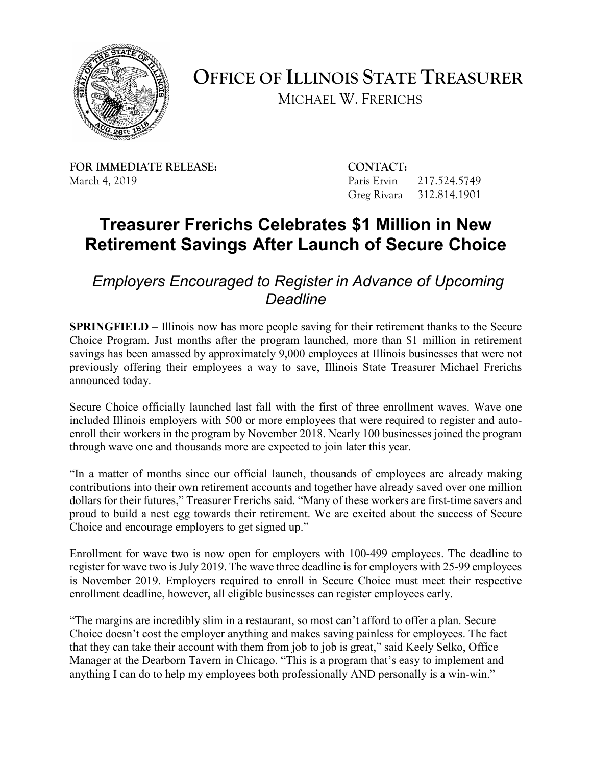

**OFFICE OF ILLINOIS STATE TREASURER** 

MICHAEL W. FRERICHS

**FOR IMMEDIATE RELEASE: CONTACT:** March 4, 2019 Paris Ervin 217.524.5749

Greg Rivara 312.814.1901

## **Treasurer Frerichs Celebrates \$1 Million in New Retirement Savings After Launch of Secure Choice**

## *Employers Encouraged to Register in Advance of Upcoming Deadline*

 **SPRINGFIELD** – Illinois now has more people saving for their retirement thanks to the Secure savings has been amassed by approximately 9,000 employees at Illinois businesses that were not previously offering their employees a way to save, Illinois State Treasurer Michael Frerichs Choice Program. Just months after the program launched, more than \$1 million in retirement announced today.

 included Illinois employers with 500 or more employees that were required to register and auto- through wave one and thousands more are expected to join later this year. Secure Choice officially launched last fall with the first of three enrollment waves. Wave one enroll their workers in the program by November 2018. Nearly 100 businesses joined the program

"In a matter of months since our official launch, thousands of employees are already making contributions into their own retirement accounts and together have already saved over one million dollars for their futures," Treasurer Frerichs said. "Many of these workers are first-time savers and proud to build a nest egg towards their retirement. We are excited about the success of Secure Choice and encourage employers to get signed up."

 register for wave two is July 2019. The wave three deadline is for employers with 25-99 employees is November 2019. Employers required to enroll in Secure Choice must meet their respective Enrollment for wave two is now open for employers with 100-499 employees. The deadline to enrollment deadline, however, all eligible businesses can register employees early.

 Choice doesn't cost the employer anything and makes saving painless for employees. The fact that they can take their account with them from job to job is great," said Keely Selko, Office anything I can do to help my employees both professionally AND personally is a win-win." "The margins are incredibly slim in a restaurant, so most can't afford to offer a plan. Secure Manager at the Dearborn Tavern in Chicago. "This is a program that's easy to implement and